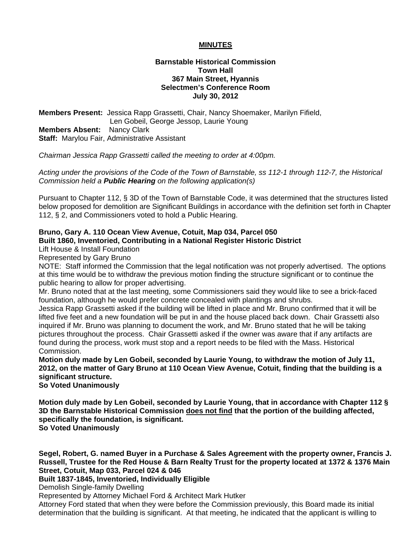# **MINUTES**

# **Barnstable Historical Commission Town Hall 367 Main Street, Hyannis Selectmen's Conference Room July 30, 2012**

**Members Present:** Jessica Rapp Grassetti, Chair, Nancy Shoemaker, Marilyn Fifield, Len Gobeil, George Jessop, Laurie Young **Members Absent:** Nancy Clark **Staff:** Marylou Fair, Administrative Assistant

*Chairman Jessica Rapp Grassetti called the meeting to order at 4:00pm.* 

*Acting under the provisions of the Code of the Town of Barnstable, ss 112-1 through 112-7, the Historical Commission held a Public Hearing on the following application(s)* 

Pursuant to Chapter 112, § 3D of the Town of Barnstable Code, it was determined that the structures listed below proposed for demolition are Significant Buildings in accordance with the definition set forth in Chapter 112, § 2, and Commissioners voted to hold a Public Hearing.

#### **Bruno, Gary A. 110 Ocean View Avenue, Cotuit, Map 034, Parcel 050 Built 1860, Inventoried, Contributing in a National Register Historic District**

Lift House & Install Foundation

Represented by Gary Bruno

NOTE: Staff informed the Commission that the legal notification was not properly advertised. The options at this time would be to withdraw the previous motion finding the structure significant or to continue the public hearing to allow for proper advertising.

Mr. Bruno noted that at the last meeting, some Commissioners said they would like to see a brick-faced foundation, although he would prefer concrete concealed with plantings and shrubs.

Jessica Rapp Grassetti asked if the building will be lifted in place and Mr. Bruno confirmed that it will be lifted five feet and a new foundation will be put in and the house placed back down. Chair Grassetti also inquired if Mr. Bruno was planning to document the work, and Mr. Bruno stated that he will be taking pictures throughout the process. Chair Grassetti asked if the owner was aware that if any artifacts are found during the process, work must stop and a report needs to be filed with the Mass. Historical Commission.

**Motion duly made by Len Gobeil, seconded by Laurie Young, to withdraw the motion of July 11, 2012, on the matter of Gary Bruno at 110 Ocean View Avenue, Cotuit, finding that the building is a significant structure.** 

**So Voted Unanimously** 

**Motion duly made by Len Gobeil, seconded by Laurie Young, that in accordance with Chapter 112 § 3D the Barnstable Historical Commission does not find that the portion of the building affected, specifically the foundation, is significant. So Voted Unanimously** 

**Segel, Robert, G. named Buyer in a Purchase & Sales Agreement with the property owner, Francis J. Russell, Trustee for the Red House & Barn Realty Trust for the property located at 1372 & 1376 Main Street, Cotuit, Map 033, Parcel 024 & 046** 

## **Built 1837-1845, Inventoried, Individually Eligible**

Demolish Single-family Dwelling

Represented by Attorney Michael Ford & Architect Mark Hutker

Attorney Ford stated that when they were before the Commission previously, this Board made its initial determination that the building is significant. At that meeting, he indicated that the applicant is willing to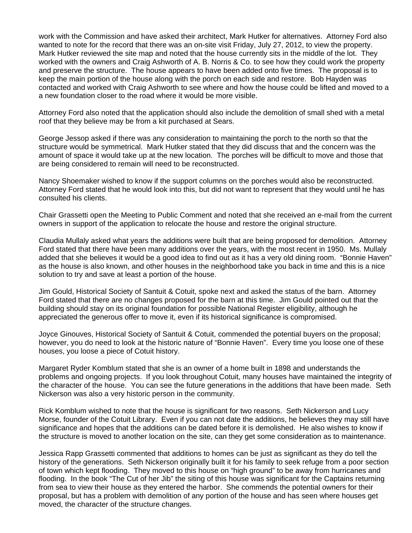work with the Commission and have asked their architect, Mark Hutker for alternatives. Attorney Ford also wanted to note for the record that there was an on-site visit Friday, July 27, 2012, to view the property. Mark Hutker reviewed the site map and noted that the house currently sits in the middle of the lot. They worked with the owners and Craig Ashworth of A. B. Norris & Co. to see how they could work the property and preserve the structure. The house appears to have been added onto five times. The proposal is to keep the main portion of the house along with the porch on each side and restore. Bob Hayden was contacted and worked with Craig Ashworth to see where and how the house could be lifted and moved to a a new foundation closer to the road where it would be more visible.

Attorney Ford also noted that the application should also include the demolition of small shed with a metal roof that they believe may be from a kit purchased at Sears.

George Jessop asked if there was any consideration to maintaining the porch to the north so that the structure would be symmetrical. Mark Hutker stated that they did discuss that and the concern was the amount of space it would take up at the new location. The porches will be difficult to move and those that are being considered to remain will need to be reconstructed.

Nancy Shoemaker wished to know if the support columns on the porches would also be reconstructed. Attorney Ford stated that he would look into this, but did not want to represent that they would until he has consulted his clients.

Chair Grassetti open the Meeting to Public Comment and noted that she received an e-mail from the current owners in support of the application to relocate the house and restore the original structure.

Claudia Mullaly asked what years the additions were built that are being proposed for demolition. Attorney Ford stated that there have been many additions over the years, with the most recent in 1950. Ms. Mullaly added that she believes it would be a good idea to find out as it has a very old dining room. "Bonnie Haven" as the house is also known, and other houses in the neighborhood take you back in time and this is a nice solution to try and save at least a portion of the house.

Jim Gould, Historical Society of Santuit & Cotuit, spoke next and asked the status of the barn. Attorney Ford stated that there are no changes proposed for the barn at this time. Jim Gould pointed out that the building should stay on its original foundation for possible National Register eligibility, although he appreciated the generous offer to move it, even if its historical significance is compromised.

Joyce Ginouves, Historical Society of Santuit & Cotuit, commended the potential buyers on the proposal; however, you do need to look at the historic nature of "Bonnie Haven". Every time you loose one of these houses, you loose a piece of Cotuit history.

Margaret Ryder Komblum stated that she is an owner of a home built in 1898 and understands the problems and ongoing projects. If you look throughout Cotuit, many houses have maintained the integrity of the character of the house. You can see the future generations in the additions that have been made. Seth Nickerson was also a very historic person in the community.

Rick Komblum wished to note that the house is significant for two reasons. Seth Nickerson and Lucy Morse, founder of the Cotuit Library. Even if you can not date the additions, he believes they may still have significance and hopes that the additions can be dated before it is demolished. He also wishes to know if the structure is moved to another location on the site, can they get some consideration as to maintenance.

Jessica Rapp Grassetti commented that additions to homes can be just as significant as they do tell the history of the generations. Seth Nickerson originally built it for his family to seek refuge from a poor section of town which kept flooding. They moved to this house on "high ground" to be away from hurricanes and flooding. In the book "The Cut of her Jib" the siting of this house was significant for the Captains returning from sea to view their house as they entered the harbor. She commends the potential owners for their proposal, but has a problem with demolition of any portion of the house and has seen where houses get moved, the character of the structure changes.